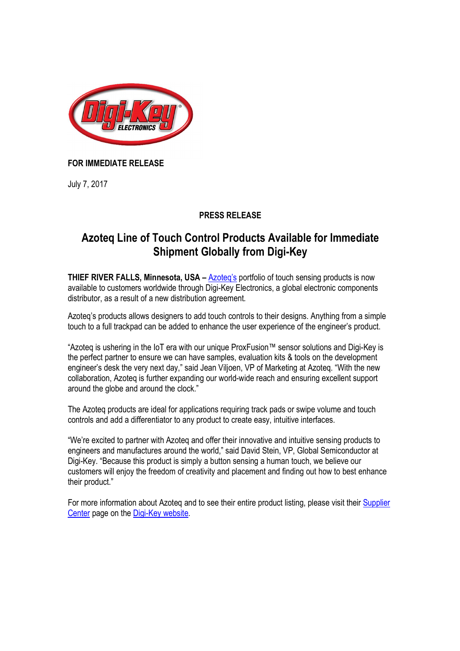

## **FOR IMMEDIATE RELEASE**

July 7, 2017

## **PRESS RELEASE**

# **Azoteq Line of Touch Control Products Available for Immediate Shipment Globally from Digi-Key**

**THIEF RIVER FALLS, Minnesota, USA – Azoteg's portfolio of touch sensing products is now** available to customers worldwide through Digi-Key Electronics, a global electronic components distributor, as a result of a new distribution agreement*.*

Azoteq's products allows designers to add touch controls to their designs. Anything from a simple touch to a full trackpad can be added to enhance the user experience of the engineer's product.

"Azoteq is ushering in the IoT era with our unique ProxFusion™ sensor solutions and Digi-Key is the perfect partner to ensure we can have samples, evaluation kits & tools on the development engineer's desk the very next day," said Jean Viljoen, VP of Marketing at Azoteq. "With the new collaboration, Azoteq is further expanding our world-wide reach and ensuring excellent support around the globe and around the clock."

The Azoteq products are ideal for applications requiring track pads or swipe volume and touch controls and add a differentiator to any product to create easy, intuitive interfaces.

"We're excited to partner with Azoteq and offer their innovative and intuitive sensing products to engineers and manufactures around the world," said David Stein, VP, Global Semiconductor at Digi-Key. "Because this product is simply a button sensing a human touch, we believe our customers will enjoy the freedom of creativity and placement and finding out how to best enhance their product."

For more information about Azoteq and to see their entire product listing, please visit their Supplier Center page on the Digi-Key website.